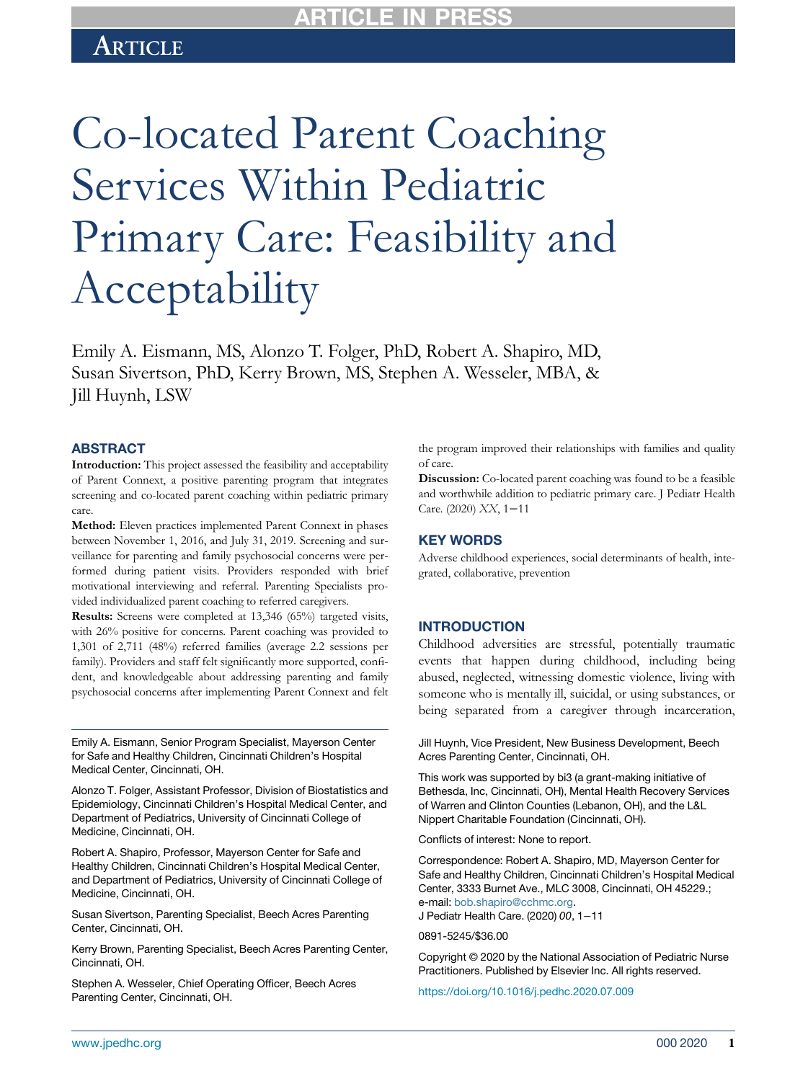## ARTICLE

# Co-located Parent Coaching Services Within Pediatric Primary Care: Feasibility and Acceptability

Emily A. Eismann, MS, Alonzo T. Folger, PhD, Robert A. Shapiro, MD, Susan Sivertson, PhD, Kerry Brown, MS, Stephen A. Wesseler, MBA, & Jill Huynh, LSW

#### ABSTRACT

Introduction: This project assessed the feasibility and acceptability of Parent Connext, a positive parenting program that integrates screening and co-located parent coaching within pediatric primary care.

Method: Eleven practices implemented Parent Connext in phases between November 1, 2016, and July 31, 2019. Screening and surveillance for parenting and family psychosocial concerns were performed during patient visits. Providers responded with brief motivational interviewing and referral. Parenting Specialists provided individualized parent coaching to referred caregivers.

Results: Screens were completed at 13,346 (65%) targeted visits, with 26% positive for concerns. Parent coaching was provided to 1,301 of 2,711 (48%) referred families (average 2.2 sessions per family). Providers and staff felt significantly more supported, confident, and knowledgeable about addressing parenting and family psychosocial concerns after implementing Parent Connext and felt

Emily A. Eismann, Senior Program Specialist, Mayerson Center for Safe and Healthy Children, Cincinnati Children's Hospital Medical Center, Cincinnati, OH.

Alonzo T. Folger, Assistant Professor, Division of Biostatistics and Epidemiology, Cincinnati Children's Hospital Medical Center, and Department of Pediatrics, University of Cincinnati College of Medicine, Cincinnati, OH.

Robert A. Shapiro, Professor, Mayerson Center for Safe and Healthy Children, Cincinnati Children's Hospital Medical Center, and Department of Pediatrics, University of Cincinnati College of Medicine, Cincinnati, OH.

Susan Sivertson, Parenting Specialist, Beech Acres Parenting Center, Cincinnati, OH.

Kerry Brown, Parenting Specialist, Beech Acres Parenting Center, Cincinnati, OH.

Stephen A. Wesseler, Chief Operating Officer, Beech Acres Parenting Center, Cincinnati, OH.

the program improved their relationships with families and quality of care.

Discussion: Co-located parent coaching was found to be a feasible and worthwhile addition to pediatric primary care. J Pediatr Health Care. (2020) XX, 1−11

#### KEY WORDS

Adverse childhood experiences, social determinants of health, integrated, collaborative, prevention

#### INTRODUCTION

Childhood adversities are stressful, potentially traumatic events that happen during childhood, including being abused, neglected, witnessing domestic violence, living with someone who is mentally ill, suicidal, or using substances, or being separated from a caregiver through incarceration,

Jill Huynh, Vice President, New Business Development, Beech Acres Parenting Center, Cincinnati, OH.

This work was supported by bi3 (a grant-making initiative of Bethesda, Inc, Cincinnati, OH), Mental Health Recovery Services of Warren and Clinton Counties (Lebanon, OH), and the L&L Nippert Charitable Foundation (Cincinnati, OH).

Conflicts of interest: None to report.

Correspondence: Robert A. Shapiro, MD, Mayerson Center for Safe and Healthy Children, Cincinnati Children's Hospital Medical Center, 3333 Burnet Ave., MLC 3008, Cincinnati, OH 45229.; e-mail: [bob.shapiro@cchmc.org](mailto:bob.shapiro@cchmc.org).

J Pediatr Health Care. (2020) 00, 1−11

0891-5245/\$36.00

Copyright © 2020 by the National Association of Pediatric Nurse Practitioners. Published by Elsevier Inc. All rights reserved.

<https://doi.org/10.1016/j.pedhc.2020.07.009>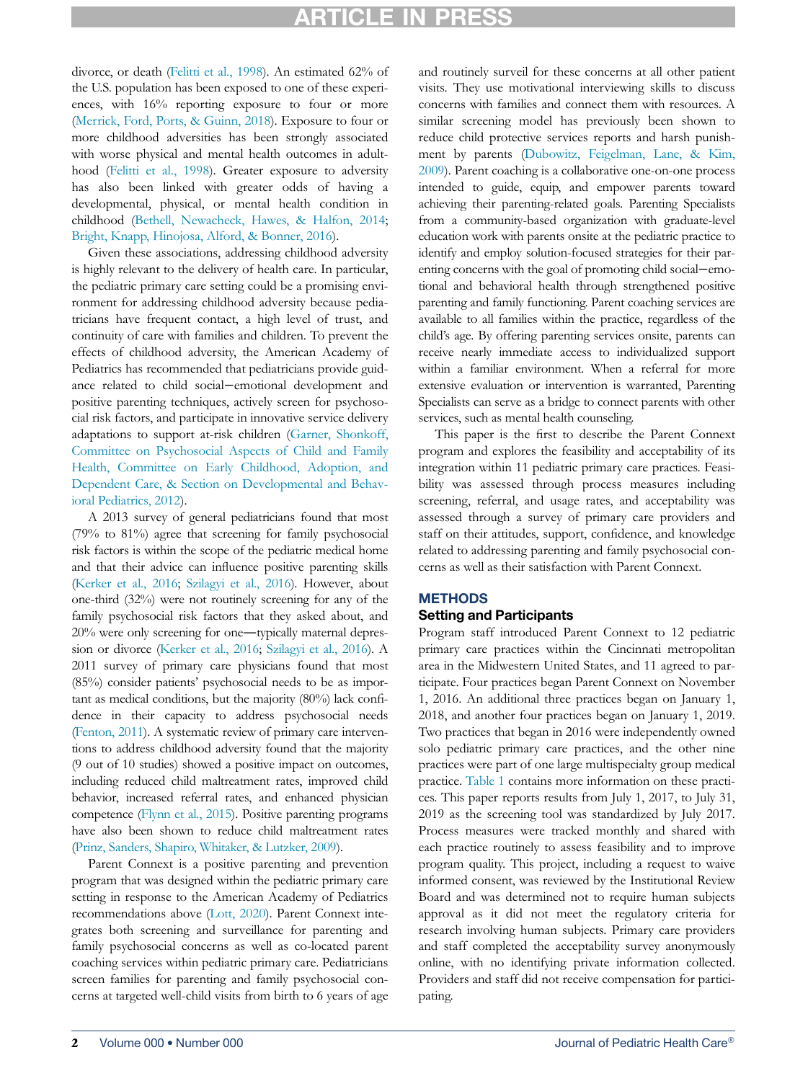## RTICLE IN PR

divorce, or death [\(Felitti et al., 1998](#page-10-0)). An estimated 62% of the U.S. population has been exposed to one of these experiences, with 16% reporting exposure to four or more ([Merrick, Ford, Ports, & Guinn, 2018\)](#page-10-1). Exposure to four or more childhood adversities has been strongly associated with worse physical and mental health outcomes in adulthood [\(Felitti et al., 1998\)](#page-10-0). Greater exposure to adversity has also been linked with greater odds of having a developmental, physical, or mental health condition in childhood ([Bethell, Newacheck, Hawes, & Halfon, 2014;](#page-9-0) [Bright, Knapp, Hinojosa, Alford, & Bonner, 2016\)](#page-9-1).

Given these associations, addressing childhood adversity is highly relevant to the delivery of health care. In particular, the pediatric primary care setting could be a promising environment for addressing childhood adversity because pediatricians have frequent contact, a high level of trust, and continuity of care with families and children. To prevent the effects of childhood adversity, the American Academy of Pediatrics has recommended that pediatricians provide guidance related to child social−emotional development and positive parenting techniques, actively screen for psychosocial risk factors, and participate in innovative service delivery adaptations to support at-risk children [\(Garner, Shonkoff,](#page-10-2) [Committee on Psychosocial Aspects of Child and Family](#page-10-2) [Health, Committee on Early Childhood, Adoption, and](#page-10-2) [Dependent Care, & Section on Developmental and Behav](#page-10-2)[ioral Pediatrics, 2012\)](#page-10-2).

A 2013 survey of general pediatricians found that most (79% to 81%) agree that screening for family psychosocial risk factors is within the scope of the pediatric medical home and that their advice can influence positive parenting skills [\(Kerker et al., 2016;](#page-10-3) [Szilagyi et al., 2016\)](#page-10-4). However, about one-third (32%) were not routinely screening for any of the family psychosocial risk factors that they asked about, and 20% were only screening for one—typically maternal depression or divorce ([Kerker et al., 2016](#page-10-3); [Szilagyi et al., 2016](#page-10-4)). A 2011 survey of primary care physicians found that most (85%) consider patients' psychosocial needs to be as important as medical conditions, but the majority (80%) lack confidence in their capacity to address psychosocial needs [\(Fenton, 2011\)](#page-10-5). A systematic review of primary care interventions to address childhood adversity found that the majority (9 out of 10 studies) showed a positive impact on outcomes, including reduced child maltreatment rates, improved child behavior, increased referral rates, and enhanced physician competence [\(Flynn et al., 2015\)](#page-10-6). Positive parenting programs have also been shown to reduce child maltreatment rates [\(Prinz, Sanders, Shapiro, Whitaker, & Lutzker, 2009](#page-10-7)).

Parent Connext is a positive parenting and prevention program that was designed within the pediatric primary care setting in response to the American Academy of Pediatrics recommendations above ([Lott, 2020](#page-10-8)). Parent Connext integrates both screening and surveillance for parenting and family psychosocial concerns as well as co-located parent coaching services within pediatric primary care. Pediatricians screen families for parenting and family psychosocial concerns at targeted well-child visits from birth to 6 years of age

and routinely surveil for these concerns at all other patient visits. They use motivational interviewing skills to discuss concerns with families and connect them with resources. A similar screening model has previously been shown to reduce child protective services reports and harsh punishment by parents ([Dubowitz, Feigelman, Lane, & Kim,](#page-9-2) [2009\)](#page-9-2). Parent coaching is a collaborative one-on-one process intended to guide, equip, and empower parents toward achieving their parenting-related goals. Parenting Specialists from a community-based organization with graduate-level education work with parents onsite at the pediatric practice to identify and employ solution-focused strategies for their parenting concerns with the goal of promoting child social−emotional and behavioral health through strengthened positive parenting and family functioning. Parent coaching services are available to all families within the practice, regardless of the child's age. By offering parenting services onsite, parents can receive nearly immediate access to individualized support within a familiar environment. When a referral for more extensive evaluation or intervention is warranted, Parenting Specialists can serve as a bridge to connect parents with other services, such as mental health counseling.

This paper is the first to describe the Parent Connext program and explores the feasibility and acceptability of its integration within 11 pediatric primary care practices. Feasibility was assessed through process measures including screening, referral, and usage rates, and acceptability was assessed through a survey of primary care providers and staff on their attitudes, support, confidence, and knowledge related to addressing parenting and family psychosocial concerns as well as their satisfaction with Parent Connext.

## METHODS

#### Setting and Participants

Program staff introduced Parent Connext to 12 pediatric primary care practices within the Cincinnati metropolitan area in the Midwestern United States, and 11 agreed to participate. Four practices began Parent Connext on November 1, 2016. An additional three practices began on January 1, 2018, and another four practices began on January 1, 2019. Two practices that began in 2016 were independently owned solo pediatric primary care practices, and the other nine practices were part of one large multispecialty group medical practice. [Table 1](#page-2-0) contains more information on these practices. This paper reports results from July 1, 2017, to July 31, 2019 as the screening tool was standardized by July 2017. Process measures were tracked monthly and shared with each practice routinely to assess feasibility and to improve program quality. This project, including a request to waive informed consent, was reviewed by the Institutional Review Board and was determined not to require human subjects approval as it did not meet the regulatory criteria for research involving human subjects. Primary care providers and staff completed the acceptability survey anonymously online, with no identifying private information collected. Providers and staff did not receive compensation for participating.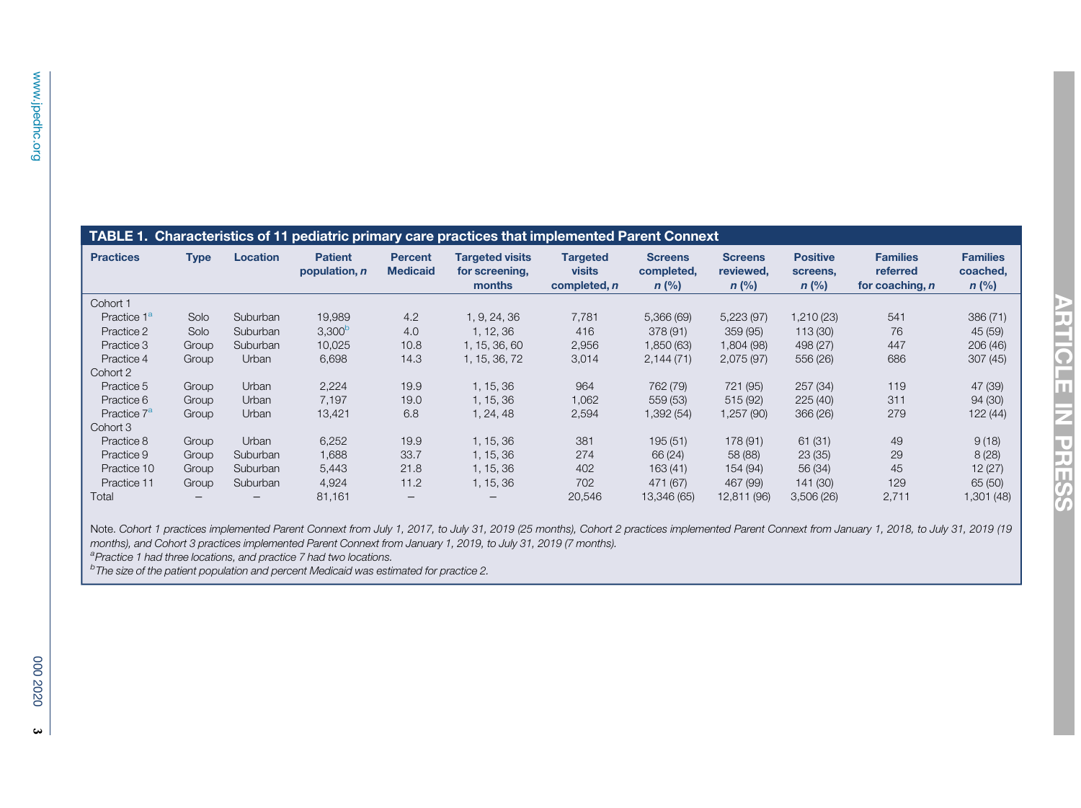<span id="page-2-1"></span><span id="page-2-0"></span>

| TABLE 1. Characteristics of 11 pediatric primary care practices that implemented Parent Connext |             |                 |                                 |                                   |                                                    |                                           |                                         |                                        |                                        |                                                |                                        |
|-------------------------------------------------------------------------------------------------|-------------|-----------------|---------------------------------|-----------------------------------|----------------------------------------------------|-------------------------------------------|-----------------------------------------|----------------------------------------|----------------------------------------|------------------------------------------------|----------------------------------------|
| <b>Practices</b>                                                                                | <b>Type</b> | <b>Location</b> | <b>Patient</b><br>population, n | <b>Percent</b><br><b>Medicaid</b> | <b>Targeted visits</b><br>for screening,<br>months | <b>Targeted</b><br>visits<br>completed, n | <b>Screens</b><br>completed,<br>$n$ (%) | <b>Screens</b><br>reviewed,<br>$n$ (%) | <b>Positive</b><br>screens,<br>$n$ (%) | <b>Families</b><br>referred<br>for coaching, n | <b>Families</b><br>coached,<br>$n$ (%) |
| Cohort 1                                                                                        |             |                 |                                 |                                   |                                                    |                                           |                                         |                                        |                                        |                                                |                                        |
| Practice 1 <sup>a</sup>                                                                         | Solo        | Suburban        | 19.989                          | 4.2                               | 1, 9, 24, 36                                       | 7,781                                     | 5,366 (69)                              | 5,223(97)                              | 1,210 (23)                             | 541                                            | 386 (71)                               |
| Practice 2                                                                                      | Solo        | Suburban        | 3,300 <sup>b</sup>              | 4.0                               | 1, 12, 36                                          | 416                                       | 378(91)                                 | 359(95)                                | 113 (30)                               | 76                                             | 45 (59)                                |
| Practice 3                                                                                      | Group       | Suburban        | 10,025                          | 10.8                              | 1, 15, 36, 60                                      | 2,956                                     | 1,850 (63)                              | 1,804 (98)                             | 498 (27)                               | 447                                            | 206(46)                                |
| Practice 4                                                                                      | Group       | Urban           | 6,698                           | 14.3                              | 1, 15, 36, 72                                      | 3,014                                     | 2,144(71)                               | 2,075(97)                              | 556 (26)                               | 686                                            | 307(45)                                |
| Cohort 2                                                                                        |             |                 |                                 |                                   |                                                    |                                           |                                         |                                        |                                        |                                                |                                        |
| Practice 5                                                                                      | Group       | Urban           | 2,224                           | 19.9                              | 1, 15, 36                                          | 964                                       | 762 (79)                                | 721 (95)                               | 257 (34)                               | 119                                            | 47 (39)                                |
| Practice 6                                                                                      | Group       | Urban           | 7,197                           | 19.0                              | 1, 15, 36                                          | 1,062                                     | 559 (53)                                | 515(92)                                | 225(40)                                | 311                                            | 94 (30)                                |
| Practice 7 <sup>a</sup>                                                                         | Group       | Urban           | 13,421                          | 6.8                               | 1, 24, 48                                          | 2,594                                     | 1,392 (54)                              | 1,257 (90)                             | 366 (26)                               | 279                                            | 122(44)                                |
| Cohort 3                                                                                        |             |                 |                                 |                                   |                                                    |                                           |                                         |                                        |                                        |                                                |                                        |
| Practice 8                                                                                      | Group       | Urban           | 6,252                           | 19.9                              | 1, 15, 36                                          | 381                                       | 195 (51)                                | 178 (91)                               | 61(31)                                 | 49                                             | 9(18)                                  |
| Practice 9                                                                                      | Group       | Suburban        | 1,688                           | 33.7                              | 1, 15, 36                                          | 274                                       | 66 (24)                                 | 58 (88)                                | 23(35)                                 | 29                                             | 8(28)                                  |
| Practice 10                                                                                     | Group       | Suburban        | 5,443                           | 21.8                              | 1, 15, 36                                          | 402                                       | 163(41)                                 | 154 (94)                               | 56 (34)                                | 45                                             | 12(27)                                 |
| Practice 11                                                                                     | Group       | Suburban        | 4,924                           | 11.2                              | 1, 15, 36                                          | 702                                       | 471 (67)                                | 467 (99)                               | 141 (30)                               | 129                                            | 65 (50)                                |
| Total                                                                                           |             |                 | 81,161                          |                                   |                                                    | 20,546                                    | 13,346 (65)                             | 12,811 (96)                            | 3,506(26)                              | 2,711                                          | 1,301 (48)                             |

Note. Cohort 1 practices implemented Parent Connext from July 1, 2017, to July 31, 2019 (25 months), Cohort 2 practices implemented Parent Connext from January 1, 2018, to July 31, 2019 (19 months), and Cohort 3 practices implemented Parent Connext from January 1, 2019, to July 31, 2019 (7 months).

<sup>a</sup> Practice 1 had three locations, and practice 7 had two locations.

 $b$ The size of the patient population and percent Medicaid was estimated for practice 2.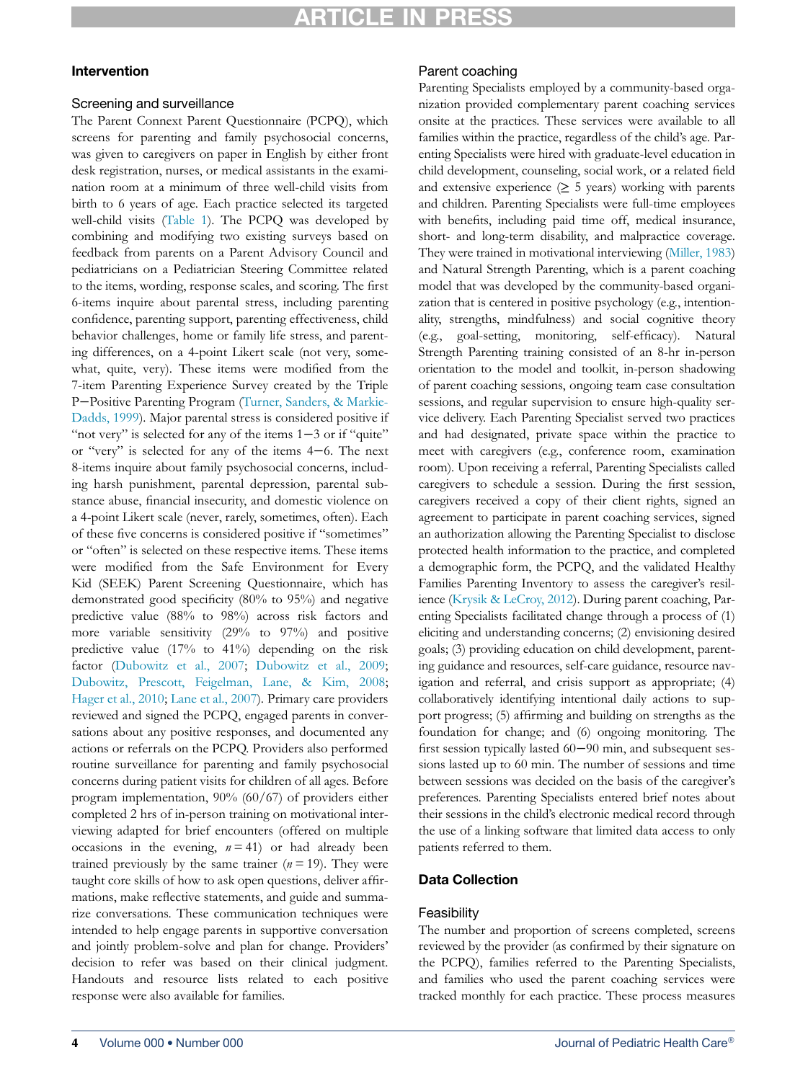## RTICLE IN

#### Intervention

#### Screening and surveillance

The Parent Connext Parent Questionnaire (PCPQ), which screens for parenting and family psychosocial concerns, was given to caregivers on paper in English by either front desk registration, nurses, or medical assistants in the examination room at a minimum of three well-child visits from birth to 6 years of age. Each practice selected its targeted well-child visits ([Table 1](#page-2-0)). The PCPQ was developed by combining and modifying two existing surveys based on feedback from parents on a Parent Advisory Council and pediatricians on a Pediatrician Steering Committee related to the items, wording, response scales, and scoring. The first 6-items inquire about parental stress, including parenting confidence, parenting support, parenting effectiveness, child behavior challenges, home or family life stress, and parenting differences, on a 4-point Likert scale (not very, somewhat, quite, very). These items were modified from the 7-item Parenting Experience Survey created by the Triple P−Positive Parenting Program ([Turner, Sanders, & Markie-](#page-10-9)[Dadds, 1999\)](#page-10-9). Major parental stress is considered positive if "not very" is selected for any of the items 1−3 or if "quite" or "very" is selected for any of the items 4−6. The next 8-items inquire about family psychosocial concerns, including harsh punishment, parental depression, parental substance abuse, financial insecurity, and domestic violence on a 4-point Likert scale (never, rarely, sometimes, often). Each of these five concerns is considered positive if "sometimes" or "often" is selected on these respective items. These items were modified from the Safe Environment for Every Kid (SEEK) Parent Screening Questionnaire, which has demonstrated good specificity (80% to 95%) and negative predictive value (88% to 98%) across risk factors and more variable sensitivity (29% to 97%) and positive predictive value (17% to 41%) depending on the risk factor [\(Dubowitz et al., 2007;](#page-9-3) [Dubowitz et al., 2009;](#page-9-2) [Dubowitz, Prescott, Feigelman, Lane, & Kim, 2008;](#page-9-4) [Hager et al., 2010](#page-10-10); [Lane et al., 2007](#page-10-11)). Primary care providers reviewed and signed the PCPQ, engaged parents in conversations about any positive responses, and documented any actions or referrals on the PCPQ. Providers also performed routine surveillance for parenting and family psychosocial concerns during patient visits for children of all ages. Before program implementation, 90% (60/67) of providers either completed 2 hrs of in-person training on motivational interviewing adapted for brief encounters (offered on multiple occasions in the evening,  $n = 41$ ) or had already been trained previously by the same trainer ( $n = 19$ ). They were taught core skills of how to ask open questions, deliver affirmations, make reflective statements, and guide and summarize conversations. These communication techniques were intended to help engage parents in supportive conversation and jointly problem-solve and plan for change. Providers' decision to refer was based on their clinical judgment. Handouts and resource lists related to each positive response were also available for families.

#### Parent coaching

Parenting Specialists employed by a community-based organization provided complementary parent coaching services onsite at the practices. These services were available to all families within the practice, regardless of the child's age. Parenting Specialists were hired with graduate-level education in child development, counseling, social work, or a related field and extensive experience  $(≥ 5 years)$  working with parents and children. Parenting Specialists were full-time employees with benefits, including paid time off, medical insurance, short- and long-term disability, and malpractice coverage. They were trained in motivational interviewing [\(Miller, 1983\)](#page-10-12) and Natural Strength Parenting, which is a parent coaching model that was developed by the community-based organization that is centered in positive psychology (e.g., intentionality, strengths, mindfulness) and social cognitive theory (e.g., goal-setting, monitoring, self-efficacy). Natural Strength Parenting training consisted of an 8-hr in-person orientation to the model and toolkit, in-person shadowing of parent coaching sessions, ongoing team case consultation sessions, and regular supervision to ensure high-quality service delivery. Each Parenting Specialist served two practices and had designated, private space within the practice to meet with caregivers (e.g., conference room, examination room). Upon receiving a referral, Parenting Specialists called caregivers to schedule a session. During the first session, caregivers received a copy of their client rights, signed an agreement to participate in parent coaching services, signed an authorization allowing the Parenting Specialist to disclose protected health information to the practice, and completed a demographic form, the PCPQ, and the validated Healthy Families Parenting Inventory to assess the caregiver's resilience [\(Krysik & LeCroy, 2012](#page-10-13)). During parent coaching, Parenting Specialists facilitated change through a process of (1) eliciting and understanding concerns; (2) envisioning desired goals; (3) providing education on child development, parenting guidance and resources, self-care guidance, resource navigation and referral, and crisis support as appropriate; (4) collaboratively identifying intentional daily actions to support progress; (5) affirming and building on strengths as the foundation for change; and (6) ongoing monitoring. The first session typically lasted 60−90 min, and subsequent sessions lasted up to 60 min. The number of sessions and time between sessions was decided on the basis of the caregiver's preferences. Parenting Specialists entered brief notes about their sessions in the child's electronic medical record through the use of a linking software that limited data access to only patients referred to them.

#### Data Collection

#### Feasibility

The number and proportion of screens completed, screens reviewed by the provider (as confirmed by their signature on the PCPQ), families referred to the Parenting Specialists, and families who used the parent coaching services were tracked monthly for each practice. These process measures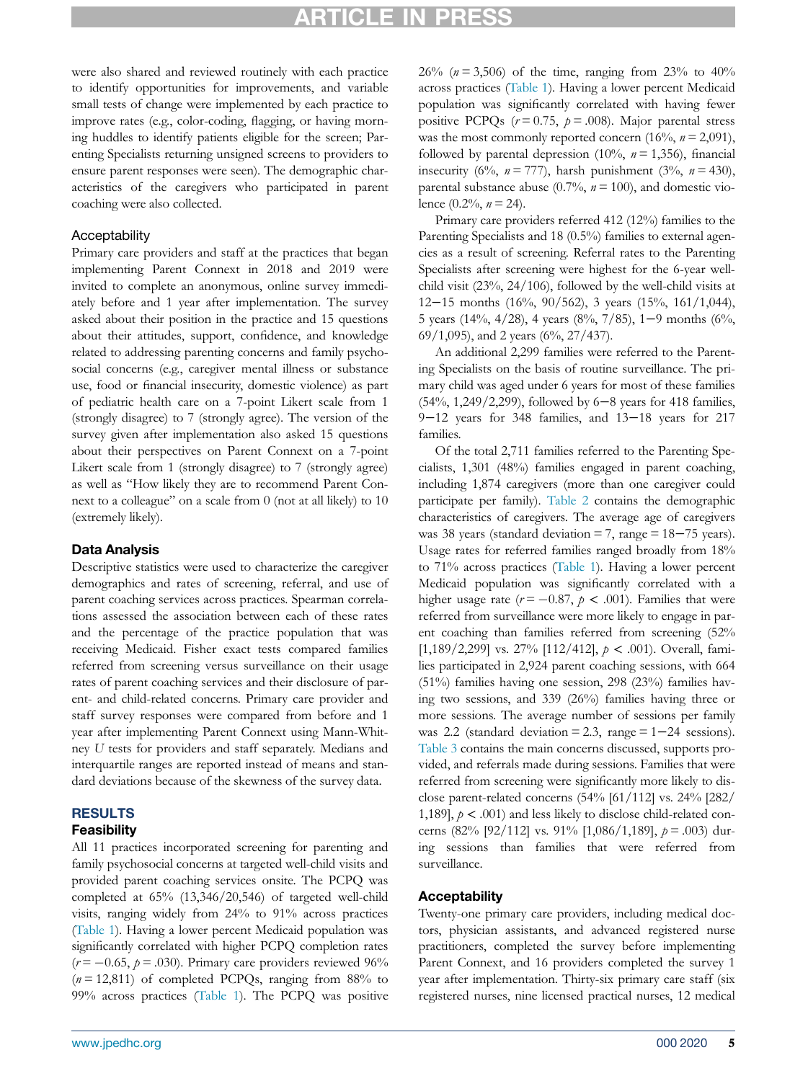## RTICLE IN PR

were also shared and reviewed routinely with each practice to identify opportunities for improvements, and variable small tests of change were implemented by each practice to improve rates (e.g., color-coding, flagging, or having morning huddles to identify patients eligible for the screen; Parenting Specialists returning unsigned screens to providers to ensure parent responses were seen). The demographic characteristics of the caregivers who participated in parent coaching were also collected.

#### Acceptability

Primary care providers and staff at the practices that began implementing Parent Connext in 2018 and 2019 were invited to complete an anonymous, online survey immediately before and 1 year after implementation. The survey asked about their position in the practice and 15 questions about their attitudes, support, confidence, and knowledge related to addressing parenting concerns and family psychosocial concerns (e.g., caregiver mental illness or substance use, food or financial insecurity, domestic violence) as part of pediatric health care on a 7-point Likert scale from 1 (strongly disagree) to 7 (strongly agree). The version of the survey given after implementation also asked 15 questions about their perspectives on Parent Connext on a 7-point Likert scale from 1 (strongly disagree) to 7 (strongly agree) as well as "How likely they are to recommend Parent Connext to a colleague" on a scale from 0 (not at all likely) to 10 (extremely likely).

#### Data Analysis

Descriptive statistics were used to characterize the caregiver demographics and rates of screening, referral, and use of parent coaching services across practices. Spearman correlations assessed the association between each of these rates and the percentage of the practice population that was receiving Medicaid. Fisher exact tests compared families referred from screening versus surveillance on their usage rates of parent coaching services and their disclosure of parent- and child-related concerns. Primary care provider and staff survey responses were compared from before and 1 year after implementing Parent Connext using Mann-Whitney U tests for providers and staff separately. Medians and interquartile ranges are reported instead of means and standard deviations because of the skewness of the survey data.

#### **RESULTS**

#### **Feasibility**

All 11 practices incorporated screening for parenting and family psychosocial concerns at targeted well-child visits and provided parent coaching services onsite. The PCPQ was completed at 65% (13,346/20,546) of targeted well-child visits, ranging widely from 24% to 91% across practices ([Table 1](#page-2-0)). Having a lower percent Medicaid population was significantly correlated with higher PCPQ completion rates  $(r = -0.65, p = .030)$ . Primary care providers reviewed 96%  $(n = 12,811)$  of completed PCPQs, ranging from 88% to 99% across practices [\(Table 1](#page-2-0)). The PCPQ was positive 26% ( $n = 3,506$ ) of the time, ranging from 23% to 40% across practices ([Table 1](#page-2-0)). Having a lower percent Medicaid population was significantly correlated with having fewer positive PCPQs  $(r = 0.75, p = .008)$ . Major parental stress was the most commonly reported concern (16%,  $n = 2,091$ ), followed by parental depression (10%,  $n = 1,356$ ), financial insecurity (6%,  $n = 777$ ), harsh punishment (3%,  $n = 430$ ), parental substance abuse (0.7%,  $n = 100$ ), and domestic violence  $(0.2\%, n = 24)$ .

Primary care providers referred 412 (12%) families to the Parenting Specialists and 18 (0.5%) families to external agencies as a result of screening. Referral rates to the Parenting Specialists after screening were highest for the 6-year wellchild visit (23%, 24/106), followed by the well-child visits at 12−15 months (16%, 90/562), 3 years (15%, 161/1,044), 5 years (14%, 4/28), 4 years (8%, 7/85), 1−9 months (6%, 69/1,095), and 2 years (6%, 27/437).

An additional 2,299 families were referred to the Parenting Specialists on the basis of routine surveillance. The primary child was aged under 6 years for most of these families (54%, 1,249/2,299), followed by 6−8 years for 418 families, 9−12 years for 348 families, and 13−18 years for 217 families.

Of the total 2,711 families referred to the Parenting Specialists, 1,301 (48%) families engaged in parent coaching, including 1,874 caregivers (more than one caregiver could participate per family). [Table 2](#page-5-0) contains the demographic characteristics of caregivers. The average age of caregivers was 38 years (standard deviation = 7, range = 18−75 years). Usage rates for referred families ranged broadly from 18% to 71% across practices ([Table 1\)](#page-2-0). Having a lower percent Medicaid population was significantly correlated with a higher usage rate ( $r = -0.87$ ,  $p < .001$ ). Families that were referred from surveillance were more likely to engage in parent coaching than families referred from screening (52% [1,189/2,299] vs. 27% [112/412],  $p < .001$ ). Overall, families participated in 2,924 parent coaching sessions, with 664 (51%) families having one session, 298 (23%) families having two sessions, and 339 (26%) families having three or more sessions. The average number of sessions per family was 2.2 (standard deviation = 2.3, range =  $1-24$  sessions). [Table 3](#page-5-1) contains the main concerns discussed, supports provided, and referrals made during sessions. Families that were referred from screening were significantly more likely to disclose parent-related concerns (54% [61/112] vs. 24% [282/ 1,189],  $p < .001$  and less likely to disclose child-related concerns (82% [92/112] vs. 91% [1,086/1,189],  $p = .003$ ) during sessions than families that were referred from surveillance.

#### **Acceptability**

Twenty-one primary care providers, including medical doctors, physician assistants, and advanced registered nurse practitioners, completed the survey before implementing Parent Connext, and 16 providers completed the survey 1 year after implementation. Thirty-six primary care staff (six registered nurses, nine licensed practical nurses, 12 medical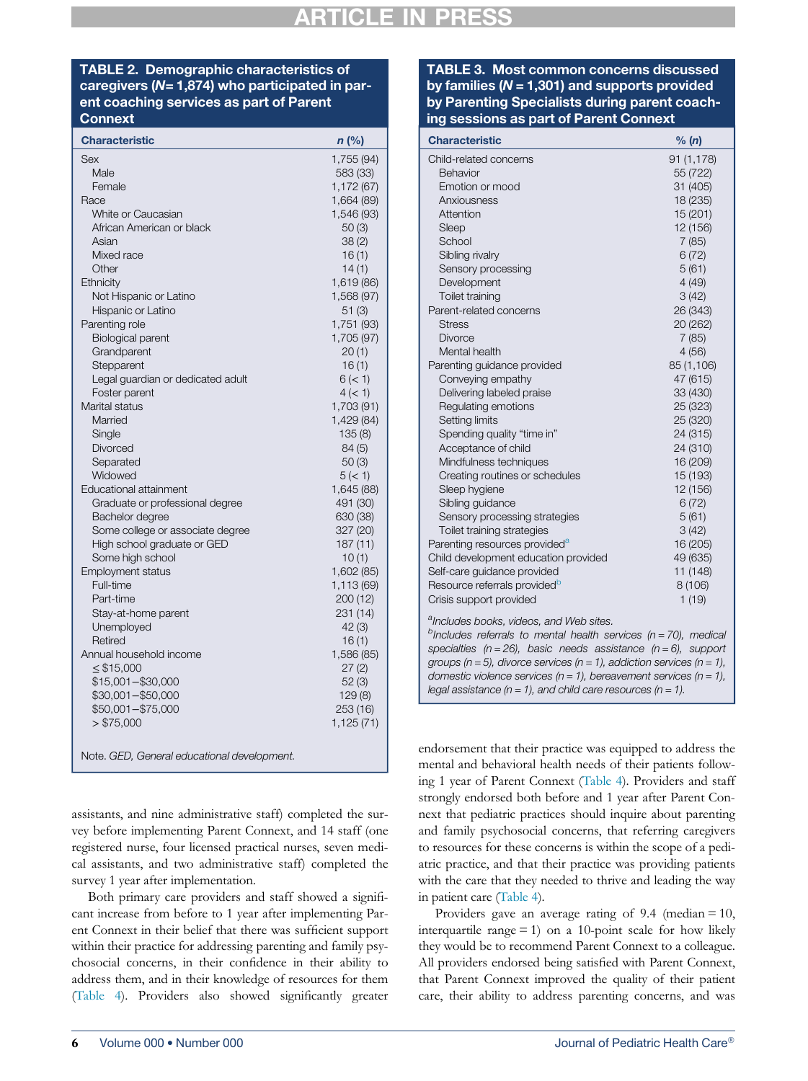#### <span id="page-5-1"></span><span id="page-5-0"></span>TABLE 2. Demographic characteristics of caregivers (N= 1,874) who participated in parent coaching services as part of Parent **Connext**

| <b>Characteristic</b>                       | $n$ (%)             |
|---------------------------------------------|---------------------|
| Sex                                         | 1,755 (94)          |
| Male                                        | 583 (33)            |
| Female                                      | 1,172 (67)          |
| Race                                        | 1,664 (89)          |
| White or Caucasian                          | 1,546 (93)          |
| African American or black                   | 50(3)               |
| Asian                                       | 38(2)               |
| Mixed race                                  | 16(1)               |
| Other                                       | 14(1)               |
| Ethnicity                                   | 1,619 (86)          |
| Not Hispanic or Latino                      | 1,568 (97)          |
| Hispanic or Latino                          | 51(3)               |
| Parenting role                              | 1,751 (93)          |
| <b>Biological parent</b>                    | 1,705 (97)          |
| Grandparent                                 | 20(1)               |
| Stepparent                                  | 16(1)               |
| Legal guardian or dedicated adult           | 6(< 1)              |
| Foster parent                               | 4 (< 1)             |
| Marital status                              | 1,703 (91)          |
| Married                                     | 1,429 (84)          |
| Single                                      | 135(8)              |
| Divorced                                    | 84(5)               |
| Separated                                   | 50(3)               |
| Widowed                                     | 5 (< 1)             |
| Educational attainment                      | 1,645 (88)          |
| Graduate or professional degree             | 491 (30)            |
| Bachelor degree                             | 630 (38)            |
| Some college or associate degree            | 327 (20)            |
| High school graduate or GED                 | 187 (11)            |
| Some high school                            | 10(1)               |
| Employment status<br>Full-time              | 1,602 (85)          |
|                                             | 1,113 (69)          |
| Part-time                                   | 200 (12)            |
| Stay-at-home parent<br>Unemployed           | 231 (14)<br>42(3)   |
| Retired                                     |                     |
| Annual household income                     | 16(1)<br>1,586 (85) |
| $\leq$ \$15,000                             |                     |
| \$15,001-\$30,000                           | 27(2)<br>52(3)      |
| \$30,001-\$50,000                           | 129(8)              |
| \$50,001-\$75,000                           | 253 (16)            |
| > \$75,000                                  | 1,125 (71)          |
|                                             |                     |
| Note. GED, General educational development. |                     |

<span id="page-5-3"></span>assistants, and nine administrative staff) completed the survey before implementing Parent Connext, and 14 staff (one registered nurse, four licensed practical nurses, seven medical assistants, and two administrative staff) completed the survey 1 year after implementation.

Both primary care providers and staff showed a significant increase from before to 1 year after implementing Parent Connext in their belief that there was sufficient support within their practice for addressing parenting and family psychosocial concerns, in their confidence in their ability to address them, and in their knowledge of resources for them ([Table 4\)](#page-6-0). Providers also showed significantly greater

#### TABLE 3. Most common concerns discussed by families ( $N = 1,301$ ) and supports provided by Parenting Specialists during parent coaching sessions as part of Parent Connext

| <b>Characteristic</b>                                                                                                                                                                                                                                                                                                                                                                                                                       | % (n)      |  |  |  |  |
|---------------------------------------------------------------------------------------------------------------------------------------------------------------------------------------------------------------------------------------------------------------------------------------------------------------------------------------------------------------------------------------------------------------------------------------------|------------|--|--|--|--|
| Child-related concerns                                                                                                                                                                                                                                                                                                                                                                                                                      | 91 (1,178) |  |  |  |  |
| Behavior                                                                                                                                                                                                                                                                                                                                                                                                                                    | 55 (722)   |  |  |  |  |
| Emotion or mood                                                                                                                                                                                                                                                                                                                                                                                                                             | 31 (405)   |  |  |  |  |
| Anxiousness                                                                                                                                                                                                                                                                                                                                                                                                                                 | 18 (235)   |  |  |  |  |
| Attention                                                                                                                                                                                                                                                                                                                                                                                                                                   | 15 (201)   |  |  |  |  |
| Sleep                                                                                                                                                                                                                                                                                                                                                                                                                                       | 12 (156)   |  |  |  |  |
| School                                                                                                                                                                                                                                                                                                                                                                                                                                      | 7(85)      |  |  |  |  |
| Sibling rivalry                                                                                                                                                                                                                                                                                                                                                                                                                             | 6(72)      |  |  |  |  |
| Sensory processing                                                                                                                                                                                                                                                                                                                                                                                                                          | 5(61)      |  |  |  |  |
| Development                                                                                                                                                                                                                                                                                                                                                                                                                                 | 4(49)      |  |  |  |  |
| Toilet training                                                                                                                                                                                                                                                                                                                                                                                                                             | 3(42)      |  |  |  |  |
| Parent-related concerns                                                                                                                                                                                                                                                                                                                                                                                                                     | 26 (343)   |  |  |  |  |
| <b>Stress</b>                                                                                                                                                                                                                                                                                                                                                                                                                               | 20 (262)   |  |  |  |  |
| <b>Divorce</b>                                                                                                                                                                                                                                                                                                                                                                                                                              | 7(85)      |  |  |  |  |
| Mental health                                                                                                                                                                                                                                                                                                                                                                                                                               | 4(56)      |  |  |  |  |
| Parenting guidance provided                                                                                                                                                                                                                                                                                                                                                                                                                 | 85 (1,106) |  |  |  |  |
| Conveying empathy                                                                                                                                                                                                                                                                                                                                                                                                                           | 47 (615)   |  |  |  |  |
| Delivering labeled praise                                                                                                                                                                                                                                                                                                                                                                                                                   | 33 (430)   |  |  |  |  |
| Regulating emotions                                                                                                                                                                                                                                                                                                                                                                                                                         | 25 (323)   |  |  |  |  |
| Setting limits                                                                                                                                                                                                                                                                                                                                                                                                                              | 25 (320)   |  |  |  |  |
| Spending quality "time in"                                                                                                                                                                                                                                                                                                                                                                                                                  | 24 (315)   |  |  |  |  |
| Acceptance of child                                                                                                                                                                                                                                                                                                                                                                                                                         | 24 (310)   |  |  |  |  |
| Mindfulness techniques                                                                                                                                                                                                                                                                                                                                                                                                                      | 16 (209)   |  |  |  |  |
| Creating routines or schedules                                                                                                                                                                                                                                                                                                                                                                                                              | 15 (193)   |  |  |  |  |
| Sleep hygiene                                                                                                                                                                                                                                                                                                                                                                                                                               | 12 (156)   |  |  |  |  |
| Sibling guidance                                                                                                                                                                                                                                                                                                                                                                                                                            | 6(72)      |  |  |  |  |
| Sensory processing strategies                                                                                                                                                                                                                                                                                                                                                                                                               | 5(61)      |  |  |  |  |
| Toilet training strategies                                                                                                                                                                                                                                                                                                                                                                                                                  | 3(42)      |  |  |  |  |
| Parenting resources provided <sup>a</sup>                                                                                                                                                                                                                                                                                                                                                                                                   | 16 (205)   |  |  |  |  |
| Child development education provided                                                                                                                                                                                                                                                                                                                                                                                                        | 49 (635)   |  |  |  |  |
| Self-care quidance provided                                                                                                                                                                                                                                                                                                                                                                                                                 | 11 (148)   |  |  |  |  |
| Resource referrals provided <sup>b</sup>                                                                                                                                                                                                                                                                                                                                                                                                    | 8(106)     |  |  |  |  |
| Crisis support provided                                                                                                                                                                                                                                                                                                                                                                                                                     | 1(19)      |  |  |  |  |
| <sup>a</sup> Includes books, videos, and Web sites.<br>$b$ Includes referrals to mental health services (n = 70), medical<br>specialties ( $n = 26$ ), basic needs assistance ( $n = 6$ ), support<br>groups ( $n = 5$ ), divorce services ( $n = 1$ ), addiction services ( $n = 1$ ),<br>domestic violence services ( $n = 1$ ), bereavement services ( $n = 1$ ),<br>legal assistance ( $n = 1$ ), and child care resources ( $n = 1$ ). |            |  |  |  |  |

<span id="page-5-2"></span>endorsement that their practice was equipped to address the mental and behavioral health needs of their patients following 1 year of Parent Connext ([Table 4\)](#page-6-0). Providers and staff strongly endorsed both before and 1 year after Parent Connext that pediatric practices should inquire about parenting and family psychosocial concerns, that referring caregivers to resources for these concerns is within the scope of a pediatric practice, and that their practice was providing patients with the care that they needed to thrive and leading the way in patient care ([Table 4\)](#page-6-0).

Providers gave an average rating of 9.4 (median = 10, interquartile range  $= 1$ ) on a 10-point scale for how likely they would be to recommend Parent Connext to a colleague. All providers endorsed being satisfied with Parent Connext, that Parent Connext improved the quality of their patient care, their ability to address parenting concerns, and was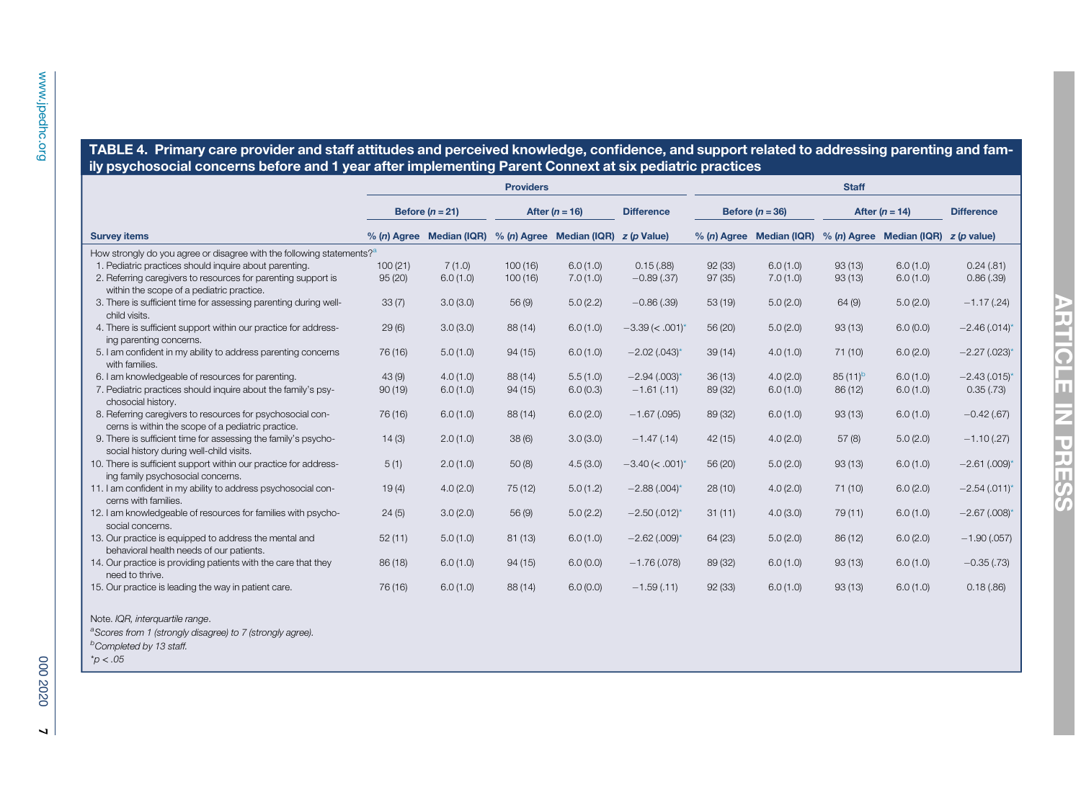#### <span id="page-6-0"></span>TABLE 4. Primary care provider and staff attitudes and perceived knowledge, con fidence, and support related to addressing parenting and family psychosocial concerns before and 1 year after implementing Parent Connext at six pediatric practices

<span id="page-6-2"></span><span id="page-6-1"></span>

|                                                                                                                  |                   |                                                               | <b>Providers</b> |          |                               | <b>Staff</b>      |                                                               |                  |          |                             |
|------------------------------------------------------------------------------------------------------------------|-------------------|---------------------------------------------------------------|------------------|----------|-------------------------------|-------------------|---------------------------------------------------------------|------------------|----------|-----------------------------|
|                                                                                                                  | Before $(n = 21)$ |                                                               | After $(n = 16)$ |          | <b>Difference</b>             | Before $(n = 36)$ |                                                               | After $(n = 14)$ |          | <b>Difference</b>           |
| <b>Survey items</b>                                                                                              |                   | % (n) Agree Median (IQR) % (n) Agree Median (IQR) z (p Value) |                  |          |                               |                   | % (n) Agree Median (IQR) % (n) Agree Median (IQR) z (p value) |                  |          |                             |
| How strongly do you agree or disagree with the following statements? <sup>a</sup>                                |                   |                                                               |                  |          |                               |                   |                                                               |                  |          |                             |
| 1. Pediatric practices should inquire about parenting.                                                           | 100(21)           | 7(1.0)                                                        | 100(16)          | 6.0(1.0) | 0.15(.88)                     | 92(33)            | 6.0(1.0)                                                      | 93(13)           | 6.0(1.0) | 0.24(.81)                   |
| 2. Referring caregivers to resources for parenting support is<br>within the scope of a pediatric practice.       | 95(20)            | 6.0(1.0)                                                      | 100(16)          | 7.0(1.0) | $-0.89(.37)$                  | 97(35)            | 7.0(1.0)                                                      | 93(13)           | 6.0(1.0) | 0.86(.39)                   |
| 3. There is sufficient time for assessing parenting during well-<br>child visits.                                | 33(7)             | 3.0(3.0)                                                      | 56(9)            | 5.0(2.2) | $-0.86$ (.39)                 | 53(19)            | 5.0(2.0)                                                      | 64(9)            | 5.0(2.0) | $-1.17$ (.24)               |
| 4. There is sufficient support within our practice for address-<br>ing parenting concerns.                       | 29(6)             | 3.0(3.0)                                                      | 88 (14)          | 6.0(1.0) | $-3.39$ (< .001) <sup>*</sup> | 56 (20)           | 5.0(2.0)                                                      | 93(13)           | 6.0(0.0) | $-2.46$ (.014) <sup>*</sup> |
| 5. I am confident in my ability to address parenting concerns<br>with families.                                  | 76 (16)           | 5.0(1.0)                                                      | 94(15)           | 6.0(1.0) | $-2.02$ (.043)*               | 39(14)            | 4.0(1.0)                                                      | 71 (10)          | 6.0(2.0) | $-2.27$ (.023)*             |
| 6. I am knowledgeable of resources for parenting.                                                                | 43(9)             | 4.0(1.0)                                                      | 88 (14)          | 5.5(1.0) | $-2.94$ (.003)*               | 36(13)            | 4.0(2.0)                                                      | $85(11)^b$       | 6.0(1.0) | $-2.43(.015)^{*}$           |
| 7. Pediatric practices should inquire about the family's psy-<br>chosocial history.                              | 90(19)            | 6.0(1.0)                                                      | 94(15)           | 6.0(0.3) | $-1.61(.11)$                  | 89 (32)           | 6.0(1.0)                                                      | 86 (12)          | 6.0(1.0) | 0.35(.73)                   |
| 8. Referring caregivers to resources for psychosocial con-<br>cerns is within the scope of a pediatric practice. | 76 (16)           | 6.0(1.0)                                                      | 88 (14)          | 6.0(2.0) | $-1.67$ (.095)                | 89 (32)           | 6.0(1.0)                                                      | 93(13)           | 6.0(1.0) | $-0.42$ (.67)               |
| 9. There is sufficient time for assessing the family's psycho-<br>social history during well-child visits.       | 14(3)             | 2.0(1.0)                                                      | 38(6)            | 3.0(3.0) | $-1.47$ (.14)                 | 42(15)            | 4.0(2.0)                                                      | 57(8)            | 5.0(2.0) | $-1.10(0.27)$               |
| 10. There is sufficient support within our practice for address-<br>ing family psychosocial concerns.            | 5(1)              | 2.0(1.0)                                                      | 50(8)            | 4.5(3.0) | $-3.40$ (< .001) <sup>*</sup> | 56 (20)           | 5.0(2.0)                                                      | 93(13)           | 6.0(1.0) | $-2.61$ (.009) <sup>*</sup> |
| 11. I am confident in my ability to address psychosocial con-<br>cerns with families.                            | 19(4)             | 4.0(2.0)                                                      | 75 (12)          | 5.0(1.2) | $-2.88(.004)$ *               | 28(10)            | 4.0(2.0)                                                      | 71 (10)          | 6.0(2.0) | $-2.54(.011)^{*}$           |
| 12. I am knowledgeable of resources for families with psycho-<br>social concerns.                                | 24(5)             | 3.0(2.0)                                                      | 56(9)            | 5.0(2.2) | $-2.50$ (.012) <sup>*</sup>   | 31(11)            | 4.0(3.0)                                                      | 79 (11)          | 6.0(1.0) | $-2.67$ (.008) <sup>*</sup> |
| 13. Our practice is equipped to address the mental and<br>behavioral health needs of our patients.               | 52(11)            | 5.0(1.0)                                                      | 81 (13)          | 6.0(1.0) | $-2.62$ (.009) <sup>*</sup>   | 64 (23)           | 5.0(2.0)                                                      | 86 (12)          | 6.0(2.0) | $-1.90(0.057)$              |
| 14. Our practice is providing patients with the care that they<br>need to thrive.                                | 86 (18)           | 6.0(1.0)                                                      | 94(15)           | 6.0(0.0) | $-1.76(0.078)$                | 89 (32)           | 6.0(1.0)                                                      | 93(13)           | 6.0(1.0) | $-0.35$ (.73)               |
| 15. Our practice is leading the way in patient care.                                                             | 76 (16)           | 6.0(1.0)                                                      | 88 (14)          | 6.0(0.0) | $-1.59(0.11)$                 | 92(33)            | 6.0(1.0)                                                      | 93(13)           | 6.0(1.0) | 0.18(.86)                   |
| Note. IQR, interquartile range.                                                                                  |                   |                                                               |                  |          |                               |                   |                                                               |                  |          |                             |
| <sup>a</sup> Scores from 1 (strongly disagree) to 7 (strongly agree).                                            |                   |                                                               |                  |          |                               |                   |                                                               |                  |          |                             |

 $b$ Completed by 13 staff.

 $*_{p < .05}$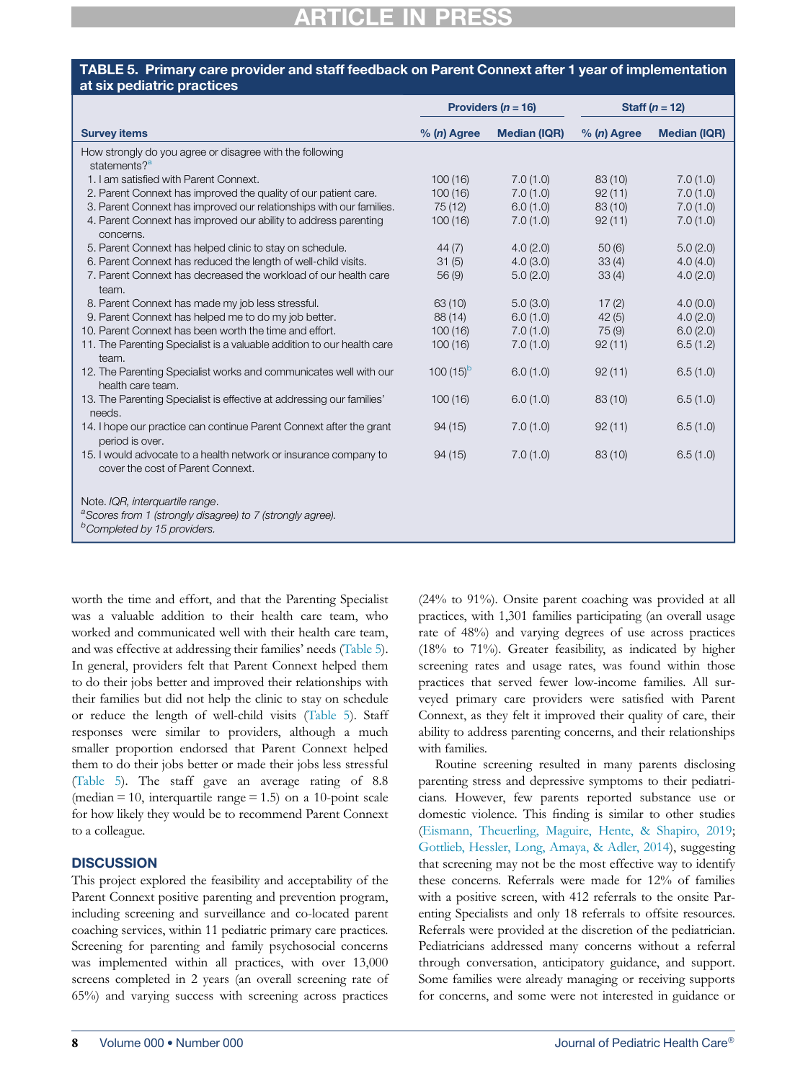## RTICLE

#### <span id="page-7-0"></span>TABLE 5. Primary care provider and staff feedback on Parent Connext after 1 year of implementation at six pediatric practices

|                                                                                      | Providers $(n = 16)$   |                     | Staff ( $n = 12$ ) |                     |  |
|--------------------------------------------------------------------------------------|------------------------|---------------------|--------------------|---------------------|--|
| <b>Survey items</b>                                                                  | $% (n)$ Agree          | <b>Median (IQR)</b> | $% (n)$ Agree      | <b>Median (IQR)</b> |  |
| How strongly do you agree or disagree with the following<br>statements? <sup>a</sup> |                        |                     |                    |                     |  |
| 1. I am satisfied with Parent Connext.                                               | 100(16)                | 7.0(1.0)            | 83 (10)            | 7.0(1.0)            |  |
| 2. Parent Connext has improved the quality of our patient care.                      | 100(16)                | 7.0(1.0)            | 92(11)             | 7.0(1.0)            |  |
| 3. Parent Connext has improved our relationships with our families.                  | 75(12)                 | 6.0(1.0)            | 83 (10)            | 7.0(1.0)            |  |
| 4. Parent Connext has improved our ability to address parenting                      | 100(16)                | 7.0(1.0)            | 92(11)             | 7.0(1.0)            |  |
| concerns.                                                                            |                        |                     |                    |                     |  |
| 5. Parent Connext has helped clinic to stay on schedule.                             | 44(7)                  | 4.0(2.0)            | 50(6)              | 5.0(2.0)            |  |
| 6. Parent Connext has reduced the length of well-child visits.                       | 31(5)                  | 4.0(3.0)            | 33(4)              | 4.0(4.0)            |  |
| 7. Parent Connext has decreased the workload of our health care                      | 56(9)                  | 5.0(2.0)            | 33(4)              | 4.0(2.0)            |  |
| team.                                                                                |                        |                     |                    |                     |  |
| 8. Parent Connext has made my job less stressful.                                    | 63(10)                 | 5.0(3.0)            | 17(2)              | 4.0(0.0)            |  |
| 9. Parent Connext has helped me to do my job better.                                 | 88 (14)                | 6.0(1.0)            | 42(5)              | 4.0(2.0)            |  |
| 10. Parent Connext has been worth the time and effort.                               | 100(16)                | 7.0(1.0)            | 75 (9)             | 6.0(2.0)            |  |
| 11. The Parenting Specialist is a valuable addition to our health care               | 100(16)                | 7.0(1.0)            | 92(11)             | 6.5(1.2)            |  |
| team.                                                                                |                        |                     |                    |                     |  |
| 12. The Parenting Specialist works and communicates well with our                    | $100(15)$ <sup>b</sup> | 6.0(1.0)            | 92(11)             | 6.5(1.0)            |  |
| health care team.                                                                    |                        |                     |                    |                     |  |
| 13. The Parenting Specialist is effective at addressing our families'                | 100(16)                | 6.0(1.0)            | 83 (10)            | 6.5(1.0)            |  |
| needs.                                                                               |                        |                     |                    |                     |  |
| 14. I hope our practice can continue Parent Connext after the grant                  | 94(15)                 | 7.0(1.0)            | 92(11)             | 6.5(1.0)            |  |
| period is over.                                                                      |                        |                     |                    |                     |  |
| 15. I would advocate to a health network or insurance company to                     | 94(15)                 | 7.0(1.0)            | 83 (10)            | 6.5(1.0)            |  |
| cover the cost of Parent Connext.                                                    |                        |                     |                    |                     |  |
|                                                                                      |                        |                     |                    |                     |  |
| Note. IQR, interquartile range.                                                      |                        |                     |                    |                     |  |
| <sup>a</sup> Scores from 1 (strongly disagree) to 7 (strongly agree).                |                        |                     |                    |                     |  |
| <sup>b</sup> Completed by 15 providers.                                              |                        |                     |                    |                     |  |
|                                                                                      |                        |                     |                    |                     |  |

<span id="page-7-1"></span>worth the time and effort, and that the Parenting Specialist was a valuable addition to their health care team, who worked and communicated well with their health care team, and was effective at addressing their families' needs [\(Table 5](#page-7-0)). In general, providers felt that Parent Connext helped them to do their jobs better and improved their relationships with their families but did not help the clinic to stay on schedule or reduce the length of well-child visits ([Table 5](#page-7-0)). Staff responses were similar to providers, although a much smaller proportion endorsed that Parent Connext helped them to do their jobs better or made their jobs less stressful ([Table 5\)](#page-7-0). The staff gave an average rating of 8.8 (median  $= 10$ , interquartile range  $= 1.5$ ) on a 10-point scale for how likely they would be to recommend Parent Connext to a colleague.

#### **DISCUSSION**

This project explored the feasibility and acceptability of the Parent Connext positive parenting and prevention program, including screening and surveillance and co-located parent coaching services, within 11 pediatric primary care practices. Screening for parenting and family psychosocial concerns was implemented within all practices, with over 13,000 screens completed in 2 years (an overall screening rate of 65%) and varying success with screening across practices

(24% to 91%). Onsite parent coaching was provided at all practices, with 1,301 families participating (an overall usage rate of 48%) and varying degrees of use across practices (18% to 71%). Greater feasibility, as indicated by higher screening rates and usage rates, was found within those practices that served fewer low-income families. All surveyed primary care providers were satisfied with Parent Connext, as they felt it improved their quality of care, their ability to address parenting concerns, and their relationships with families.

Routine screening resulted in many parents disclosing parenting stress and depressive symptoms to their pediatricians. However, few parents reported substance use or domestic violence. This finding is similar to other studies ([Eismann, Theuerling, Maguire, Hente, & Shapiro, 2019](#page-9-5); [Gottlieb, Hessler, Long, Amaya, & Adler, 2014\)](#page-10-14), suggesting that screening may not be the most effective way to identify these concerns. Referrals were made for 12% of families with a positive screen, with 412 referrals to the onsite Parenting Specialists and only 18 referrals to offsite resources. Referrals were provided at the discretion of the pediatrician. Pediatricians addressed many concerns without a referral through conversation, anticipatory guidance, and support. Some families were already managing or receiving supports for concerns, and some were not interested in guidance or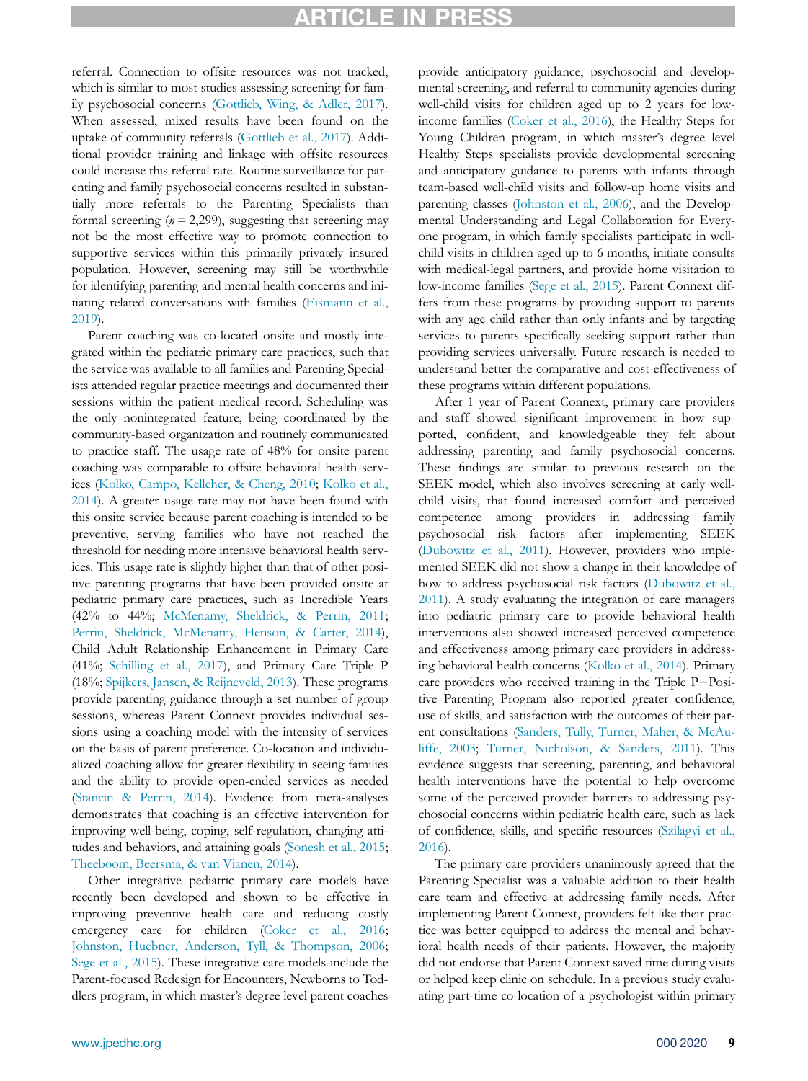## RTICLE IN PR

referral. Connection to offsite resources was not tracked, which is similar to most studies assessing screening for family psychosocial concerns [\(Gottlieb, Wing, & Adler, 2017](#page-10-15)). When assessed, mixed results have been found on the uptake of community referrals [\(Gottlieb et al., 2017](#page-10-15)). Additional provider training and linkage with offsite resources could increase this referral rate. Routine surveillance for parenting and family psychosocial concerns resulted in substantially more referrals to the Parenting Specialists than formal screening  $(n = 2,299)$ , suggesting that screening may not be the most effective way to promote connection to supportive services within this primarily privately insured population. However, screening may still be worthwhile for identifying parenting and mental health concerns and initiating related conversations with families ([Eismann et al.,](#page-9-5) [2019](#page-9-5)).

Parent coaching was co-located onsite and mostly integrated within the pediatric primary care practices, such that the service was available to all families and Parenting Specialists attended regular practice meetings and documented their sessions within the patient medical record. Scheduling was the only nonintegrated feature, being coordinated by the community-based organization and routinely communicated to practice staff. The usage rate of 48% for onsite parent coaching was comparable to offsite behavioral health services [\(Kolko, Campo, Kelleher, & Cheng, 2010;](#page-10-16) [Kolko et al.,](#page-10-17) [2014](#page-10-17)). A greater usage rate may not have been found with this onsite service because parent coaching is intended to be preventive, serving families who have not reached the threshold for needing more intensive behavioral health services. This usage rate is slightly higher than that of other positive parenting programs that have been provided onsite at pediatric primary care practices, such as Incredible Years (42% to 44%; [McMenamy, Sheldrick, & Perrin, 2011;](#page-10-18) [Perrin, Sheldrick, McMenamy, Henson, & Carter, 2014](#page-10-19)), Child Adult Relationship Enhancement in Primary Care (41%; [Schilling et al., 2017\)](#page-10-20), and Primary Care Triple P (18%; [Spijkers, Jansen, & Reijneveld, 2013\)](#page-10-21). These programs provide parenting guidance through a set number of group sessions, whereas Parent Connext provides individual sessions using a coaching model with the intensity of services on the basis of parent preference. Co-location and individualized coaching allow for greater flexibility in seeing families and the ability to provide open-ended services as needed ([Stancin & Perrin, 2014\)](#page-10-22). Evidence from meta-analyses demonstrates that coaching is an effective intervention for improving well-being, coping, self-regulation, changing attitudes and behaviors, and attaining goals [\(Sonesh et al., 2015;](#page-10-23) [Theeboom, Beersma, & van Vianen, 2014\)](#page-10-24).

Other integrative pediatric primary care models have recently been developed and shown to be effective in improving preventive health care and reducing costly emergency care for children [\(Coker et al., 2016;](#page-9-6) [Johnston, Huebner, Anderson, Tyll, & Thompson, 2006;](#page-10-25) [Sege et al., 2015](#page-10-26)). These integrative care models include the Parent-focused Redesign for Encounters, Newborns to Toddlers program, in which master's degree level parent coaches

provide anticipatory guidance, psychosocial and developmental screening, and referral to community agencies during well-child visits for children aged up to 2 years for lowincome families ([Coker et al., 2016](#page-9-6)), the Healthy Steps for Young Children program, in which master's degree level Healthy Steps specialists provide developmental screening and anticipatory guidance to parents with infants through team-based well-child visits and follow-up home visits and parenting classes ([Johnston et al., 2006](#page-10-25)), and the Developmental Understanding and Legal Collaboration for Everyone program, in which family specialists participate in wellchild visits in children aged up to 6 months, initiate consults with medical-legal partners, and provide home visitation to low-income families ([Sege et al., 2015\)](#page-10-26). Parent Connext differs from these programs by providing support to parents with any age child rather than only infants and by targeting services to parents specifically seeking support rather than providing services universally. Future research is needed to understand better the comparative and cost-effectiveness of these programs within different populations.

After 1 year of Parent Connext, primary care providers and staff showed significant improvement in how supported, confident, and knowledgeable they felt about addressing parenting and family psychosocial concerns. These findings are similar to previous research on the SEEK model, which also involves screening at early wellchild visits, that found increased comfort and perceived competence among providers in addressing family psychosocial risk factors after implementing SEEK ([Dubowitz et al., 2011\)](#page-9-7). However, providers who implemented SEEK did not show a change in their knowledge of how to address psychosocial risk factors [\(Dubowitz et al.,](#page-9-7) [2011\)](#page-9-7). A study evaluating the integration of care managers into pediatric primary care to provide behavioral health interventions also showed increased perceived competence and effectiveness among primary care providers in addressing behavioral health concerns [\(Kolko et al., 2014](#page-10-17)). Primary care providers who received training in the Triple P−Positive Parenting Program also reported greater confidence, use of skills, and satisfaction with the outcomes of their parent consultations ([Sanders, Tully, Turner, Maher, & McAu](#page-10-27)[liffe, 2003](#page-10-27); [Turner, Nicholson, & Sanders, 2011](#page-10-28)). This evidence suggests that screening, parenting, and behavioral health interventions have the potential to help overcome some of the perceived provider barriers to addressing psychosocial concerns within pediatric health care, such as lack of confidence, skills, and specific resources [\(Szilagyi et al.,](#page-10-4) [2016\)](#page-10-4).

The primary care providers unanimously agreed that the Parenting Specialist was a valuable addition to their health care team and effective at addressing family needs. After implementing Parent Connext, providers felt like their practice was better equipped to address the mental and behavioral health needs of their patients. However, the majority did not endorse that Parent Connext saved time during visits or helped keep clinic on schedule. In a previous study evaluating part-time co-location of a psychologist within primary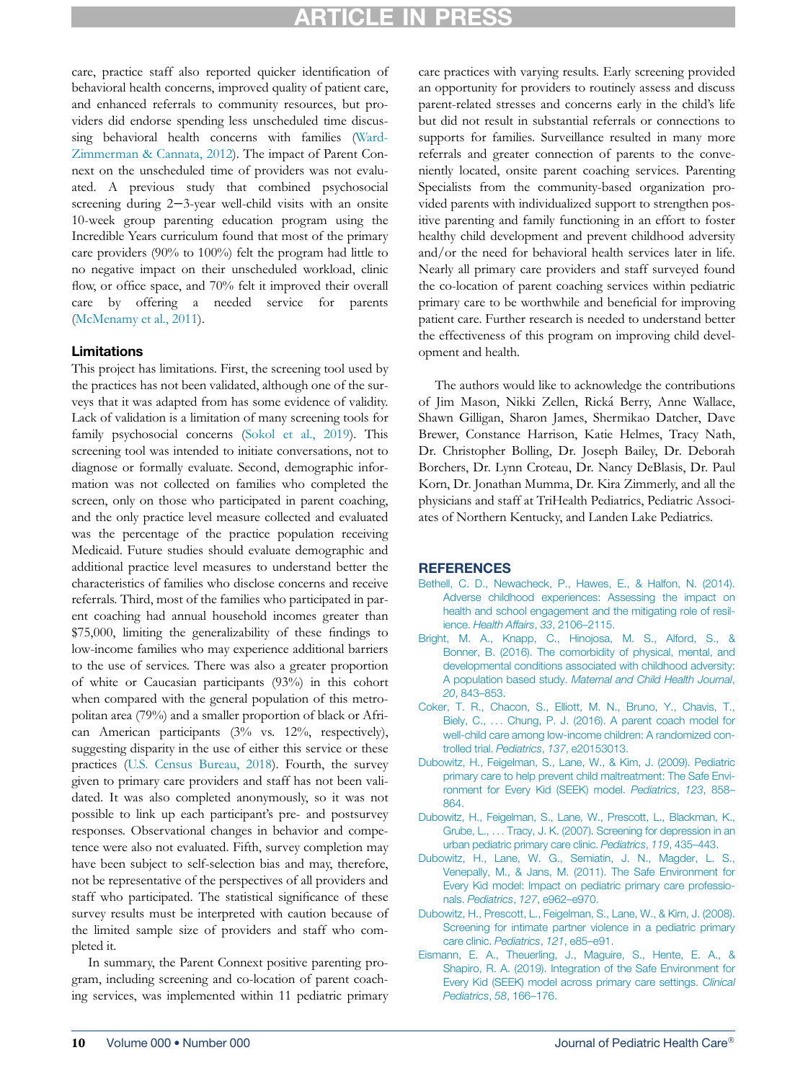## ARTICLE IN PRI

care, practice staff also reported quicker identification of behavioral health concerns, improved quality of patient care, and enhanced referrals to community resources, but providers did endorse spending less unscheduled time discussing behavioral health concerns with families ([Ward-](#page-10-29)[Zimmerman & Cannata, 2012](#page-10-29)). The impact of Parent Connext on the unscheduled time of providers was not evaluated. A previous study that combined psychosocial screening during 2−3-year well-child visits with an onsite 10-week group parenting education program using the Incredible Years curriculum found that most of the primary care providers (90% to 100%) felt the program had little to no negative impact on their unscheduled workload, clinic flow, or office space, and 70% felt it improved their overall care by offering a needed service for parents ([McMenamy et al., 2011](#page-10-18)).

#### Limitations

<span id="page-9-1"></span><span id="page-9-0"></span>This project has limitations. First, the screening tool used by the practices has not been validated, although one of the surveys that it was adapted from has some evidence of validity. Lack of validation is a limitation of many screening tools for family psychosocial concerns ([Sokol et al., 2019](#page-10-30)). This screening tool was intended to initiate conversations, not to diagnose or formally evaluate. Second, demographic information was not collected on families who completed the screen, only on those who participated in parent coaching, and the only practice level measure collected and evaluated was the percentage of the practice population receiving Medicaid. Future studies should evaluate demographic and additional practice level measures to understand better the characteristics of families who disclose concerns and receive referrals. Third, most of the families who participated in parent coaching had annual household incomes greater than \$75,000, limiting the generalizability of these findings to low-income families who may experience additional barriers to the use of services. There was also a greater proportion of white or Caucasian participants (93%) in this cohort when compared with the general population of this metropolitan area (79%) and a smaller proportion of black or African American participants (3% vs. 12%, respectively), suggesting disparity in the use of either this service or these practices [\(U.S. Census Bureau, 2018\)](#page-10-31). Fourth, the survey given to primary care providers and staff has not been validated. It was also completed anonymously, so it was not possible to link up each participant's pre- and postsurvey responses. Observational changes in behavior and competence were also not evaluated. Fifth, survey completion may have been subject to self-selection bias and may, therefore, not be representative of the perspectives of all providers and staff who participated. The statistical significance of these survey results must be interpreted with caution because of the limited sample size of providers and staff who completed it.

<span id="page-9-7"></span><span id="page-9-6"></span><span id="page-9-5"></span><span id="page-9-4"></span><span id="page-9-3"></span><span id="page-9-2"></span>In summary, the Parent Connext positive parenting program, including screening and co-location of parent coaching services, was implemented within 11 pediatric primary

care practices with varying results. Early screening provided an opportunity for providers to routinely assess and discuss parent-related stresses and concerns early in the child's life but did not result in substantial referrals or connections to supports for families. Surveillance resulted in many more referrals and greater connection of parents to the conveniently located, onsite parent coaching services. Parenting Specialists from the community-based organization provided parents with individualized support to strengthen positive parenting and family functioning in an effort to foster healthy child development and prevent childhood adversity and/or the need for behavioral health services later in life. Nearly all primary care providers and staff surveyed found the co-location of parent coaching services within pediatric primary care to be worthwhile and beneficial for improving patient care. Further research is needed to understand better the effectiveness of this program on improving child development and health.

The authors would like to acknowledge the contributions of Jim Mason, Nikki Zellen, Ricka Berry, Anne Wallace, Shawn Gilligan, Sharon James, Shermikao Datcher, Dave Brewer, Constance Harrison, Katie Helmes, Tracy Nath, Dr. Christopher Bolling, Dr. Joseph Bailey, Dr. Deborah Borchers, Dr. Lynn Croteau, Dr. Nancy DeBlasis, Dr. Paul Korn, Dr. Jonathan Mumma, Dr. Kira Zimmerly, and all the physicians and staff at TriHealth Pediatrics, Pediatric Associates of Northern Kentucky, and Landen Lake Pediatrics.

#### **REFERENCES**

- [Bethell, C. D., Newacheck, P., Hawes, E., & Halfon, N. \(2014\).](http://refhub.elsevier.com/S0891-5245(20)30202-9/sbref0001) [Adverse childhood experiences: Assessing the impact on](http://refhub.elsevier.com/S0891-5245(20)30202-9/sbref0001) [health and school engagement and the mitigating role of resil](http://refhub.elsevier.com/S0891-5245(20)30202-9/sbref0001)ience. [Health Affairs](http://refhub.elsevier.com/S0891-5245(20)30202-9/sbref0001), 33, 2106–2115.
- [Bright, M. A., Knapp, C., Hinojosa, M. S., Alford, S., &](http://refhub.elsevier.com/S0891-5245(20)30202-9/sbref0002) [Bonner, B. \(2016\). The comorbidity of physical, mental, and](http://refhub.elsevier.com/S0891-5245(20)30202-9/sbref0002) [developmental conditions associated with childhood adversity:](http://refhub.elsevier.com/S0891-5245(20)30202-9/sbref0002) A population based study. [Maternal and Child Health Journal](http://refhub.elsevier.com/S0891-5245(20)30202-9/sbref0002), 20[, 843](http://refhub.elsevier.com/S0891-5245(20)30202-9/sbref0002)–853.
- [Coker, T. R., Chacon, S., Elliott, M. N., Bruno, Y., Chavis, T.,](http://refhub.elsevier.com/S0891-5245(20)30202-9/sbref0003) [Biely, C.,](http://refhub.elsevier.com/S0891-5245(20)30202-9/sbref0003) ... [Chung, P. J. \(2016\). A parent coach model for](http://refhub.elsevier.com/S0891-5245(20)30202-9/sbref0003) [well-child care among low-income children: A randomized con](http://refhub.elsevier.com/S0891-5245(20)30202-9/sbref0003)trolled trial. Pediatrics, 137[, e20153013.](http://refhub.elsevier.com/S0891-5245(20)30202-9/sbref0003)
- [Dubowitz, H., Feigelman, S., Lane, W., & Kim, J. \(2009\). Pediatric](http://refhub.elsevier.com/S0891-5245(20)30202-9/sbref0004) [primary care to help prevent child maltreatment: The Safe Envi](http://refhub.elsevier.com/S0891-5245(20)30202-9/sbref0004)[ronment for Every Kid \(SEEK\) model.](http://refhub.elsevier.com/S0891-5245(20)30202-9/sbref0004) Pediatrics, 123, 858– [864.](http://refhub.elsevier.com/S0891-5245(20)30202-9/sbref0004)
- [Dubowitz, H., Feigelman, S., Lane, W., Prescott, L., Blackman, K.,](http://refhub.elsevier.com/S0891-5245(20)30202-9/sbref0005) [Grube, L.,](http://refhub.elsevier.com/S0891-5245(20)30202-9/sbref0005) ... [Tracy, J. K. \(2007\). Screening for depression in an](http://refhub.elsevier.com/S0891-5245(20)30202-9/sbref0005) [urban pediatric primary care clinic.](http://refhub.elsevier.com/S0891-5245(20)30202-9/sbref0005) Pediatrics, 119, 435–443.
- [Dubowitz, H., Lane, W. G., Semiatin, J. N., Magder, L. S.,](http://refhub.elsevier.com/S0891-5245(20)30202-9/sbref0006) [Venepally, M., & Jans, M. \(2011\). The Safe Environment for](http://refhub.elsevier.com/S0891-5245(20)30202-9/sbref0006) [Every Kid model: Impact on pediatric primary care professio](http://refhub.elsevier.com/S0891-5245(20)30202-9/sbref0006)nals. [Pediatrics](http://refhub.elsevier.com/S0891-5245(20)30202-9/sbref0006), 127, e962–e970.
- [Dubowitz, H., Prescott, L., Feigelman, S., Lane, W., & Kim, J. \(2008\).](http://refhub.elsevier.com/S0891-5245(20)30202-9/sbref0007) [Screening for intimate partner violence in a pediatric primary](http://refhub.elsevier.com/S0891-5245(20)30202-9/sbref0007) [care clinic.](http://refhub.elsevier.com/S0891-5245(20)30202-9/sbref0007) Pediatrics, 121, e85–e91.
- [Eismann, E. A., Theuerling, J., Maguire, S., Hente, E. A., &](http://refhub.elsevier.com/S0891-5245(20)30202-9/sbref0008) [Shapiro, R. A. \(2019\). Integration of the Safe Environment for](http://refhub.elsevier.com/S0891-5245(20)30202-9/sbref0008) [Every Kid \(SEEK\) model across primary care settings.](http://refhub.elsevier.com/S0891-5245(20)30202-9/sbref0008) Clinical [Pediatrics](http://refhub.elsevier.com/S0891-5245(20)30202-9/sbref0008), 58, 166–176.